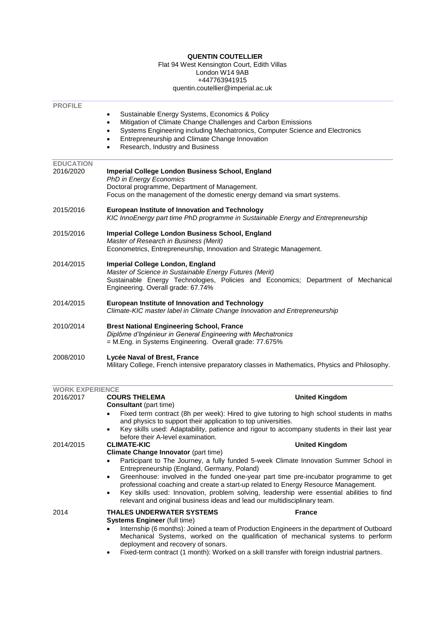# **QUENTIN COUTELLIER**

#### Flat 94 West Kensington Court, Edith Villas London W14 9AB +447763941915 quentin.coutellier@imperial.ac.uk

| <b>PROFILE</b>         |                                                                                                                                                                                                                                                                                                                                              |                                                                                                                                                                                                                                                                               |  |
|------------------------|----------------------------------------------------------------------------------------------------------------------------------------------------------------------------------------------------------------------------------------------------------------------------------------------------------------------------------------------|-------------------------------------------------------------------------------------------------------------------------------------------------------------------------------------------------------------------------------------------------------------------------------|--|
|                        | Sustainable Energy Systems, Economics & Policy<br>$\bullet$<br>Mitigation of Climate Change Challenges and Carbon Emissions<br>$\bullet$<br>Systems Engineering including Mechatronics, Computer Science and Electronics<br>٠<br>Entrepreneurship and Climate Change Innovation<br>$\bullet$<br>Research, Industry and Business<br>$\bullet$ |                                                                                                                                                                                                                                                                               |  |
| <b>EDUCATION</b>       |                                                                                                                                                                                                                                                                                                                                              |                                                                                                                                                                                                                                                                               |  |
| 2016/2020              | Imperial College London Business School, England<br><b>PhD in Energy Economics</b><br>Doctoral programme, Department of Management.<br>Focus on the management of the domestic energy demand via smart systems.                                                                                                                              |                                                                                                                                                                                                                                                                               |  |
| 2015/2016              | <b>European Institute of Innovation and Technology</b><br>KIC InnoEnergy part time PhD programme in Sustainable Energy and Entrepreneurship                                                                                                                                                                                                  |                                                                                                                                                                                                                                                                               |  |
| 2015/2016              | Imperial College London Business School, England<br>Master of Research in Business (Merit)<br>Econometrics, Entrepreneurship, Innovation and Strategic Management.                                                                                                                                                                           |                                                                                                                                                                                                                                                                               |  |
| 2014/2015              | Imperial College London, England<br>Master of Science in Sustainable Energy Futures (Merit)<br>Sustainable Energy Technologies, Policies and Economics; Department of Mechanical<br>Engineering. Overall grade: 67.74%                                                                                                                       |                                                                                                                                                                                                                                                                               |  |
| 2014/2015              | European Institute of Innovation and Technology<br>Climate-KIC master label in Climate Change Innovation and Entrepreneurship                                                                                                                                                                                                                |                                                                                                                                                                                                                                                                               |  |
| 2010/2014              | <b>Brest National Engineering School, France</b><br>Diplôme d'Ingénieur in General Engineering with Mechatronics<br>= M.Eng. in Systems Engineering. Overall grade: 77.675%                                                                                                                                                                  |                                                                                                                                                                                                                                                                               |  |
| 2008/2010              | Lycée Naval of Brest, France<br>Military College, French intensive preparatory classes in Mathematics, Physics and Philosophy.                                                                                                                                                                                                               |                                                                                                                                                                                                                                                                               |  |
| <b>WORK EXPERIENCE</b> |                                                                                                                                                                                                                                                                                                                                              |                                                                                                                                                                                                                                                                               |  |
| 2016/2017              | <b>COURS THELEMA</b><br><b>Consultant</b> (part time)                                                                                                                                                                                                                                                                                        | <b>United Kingdom</b>                                                                                                                                                                                                                                                         |  |
|                        | and physics to support their application to top universities.                                                                                                                                                                                                                                                                                | Fixed term contract (8h per week): Hired to give tutoring to high school students in maths                                                                                                                                                                                    |  |
|                        | ٠<br>before their A-level examination.                                                                                                                                                                                                                                                                                                       | Key skills used: Adaptability, patience and rigour to accompany students in their last year                                                                                                                                                                                   |  |
| 2014/2015              | <b>CLIMATE-KIC</b><br>Climate Change Innovator (part time)                                                                                                                                                                                                                                                                                   | <b>United Kingdom</b>                                                                                                                                                                                                                                                         |  |
|                        | $\bullet$<br>Entrepreneurship (England, Germany, Poland)                                                                                                                                                                                                                                                                                     | Participant to The Journey, a fully funded 5-week Climate Innovation Summer School in                                                                                                                                                                                         |  |
|                        | $\bullet$<br>professional coaching and create a start-up related to Energy Resource Management.<br>$\bullet$<br>relevant and original business ideas and lead our multidisciplinary team.                                                                                                                                                    | Greenhouse: involved in the funded one-year part time pre-incubator programme to get<br>Key skills used: Innovation, problem solving, leadership were essential abilities to find                                                                                             |  |
| 2014                   | <b>THALES UNDERWATER SYSTEMS</b>                                                                                                                                                                                                                                                                                                             | <b>France</b>                                                                                                                                                                                                                                                                 |  |
|                        | <b>Systems Engineer (full time)</b><br>deployment and recovery of sonars.                                                                                                                                                                                                                                                                    | Internship (6 months): Joined a team of Production Engineers in the department of Outboard<br>Mechanical Systems, worked on the qualification of mechanical systems to perform<br>Fixed-term contract (1 month): Worked on a skill transfer with foreign industrial partners. |  |